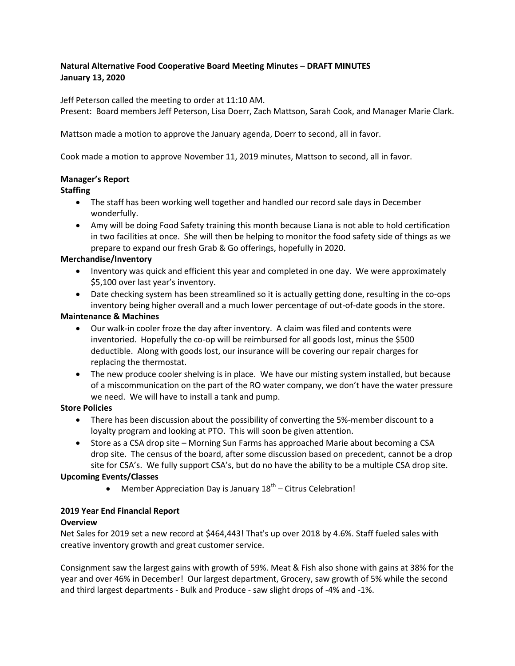# **Natural Alternative Food Cooperative Board Meeting Minutes – DRAFT MINUTES January 13, 2020**

Jeff Peterson called the meeting to order at 11:10 AM.

Present: Board members Jeff Peterson, Lisa Doerr, Zach Mattson, Sarah Cook, and Manager Marie Clark.

Mattson made a motion to approve the January agenda, Doerr to second, all in favor.

Cook made a motion to approve November 11, 2019 minutes, Mattson to second, all in favor.

# **Manager's Report**

## **Staffing**

- The staff has been working well together and handled our record sale days in December wonderfully.
- Amy will be doing Food Safety training this month because Liana is not able to hold certification in two facilities at once. She will then be helping to monitor the food safety side of things as we prepare to expand our fresh Grab & Go offerings, hopefully in 2020.

## **Merchandise/Inventory**

- Inventory was quick and efficient this year and completed in one day. We were approximately \$5,100 over last year's inventory.
- Date checking system has been streamlined so it is actually getting done, resulting in the co-ops inventory being higher overall and a much lower percentage of out-of-date goods in the store.

## **Maintenance & Machines**

- Our walk-in cooler froze the day after inventory. A claim was filed and contents were inventoried. Hopefully the co-op will be reimbursed for all goods lost, minus the \$500 deductible. Along with goods lost, our insurance will be covering our repair charges for replacing the thermostat.
- The new produce cooler shelving is in place. We have our misting system installed, but because of a miscommunication on the part of the RO water company, we don't have the water pressure we need. We will have to install a tank and pump.

## **Store Policies**

- There has been discussion about the possibility of converting the 5%-member discount to a loyalty program and looking at PTO. This will soon be given attention.
- Store as a CSA drop site Morning Sun Farms has approached Marie about becoming a CSA drop site. The census of the board, after some discussion based on precedent, cannot be a drop site for CSA's. We fully support CSA's, but do no have the ability to be a multiple CSA drop site.

## **Upcoming Events/Classes**

• Member Appreciation Day is January  $18<sup>th</sup>$  – Citrus Celebration!

## **2019 Year End Financial Report**

## **Overview**

Net Sales for 2019 set a new record at \$464,443! That's up over 2018 by 4.6%. Staff fueled sales with creative inventory growth and great customer service.

Consignment saw the largest gains with growth of 59%. Meat & Fish also shone with gains at 38% for the year and over 46% in December! Our largest department, Grocery, saw growth of 5% while the second and third largest departments - Bulk and Produce - saw slight drops of -4% and -1%.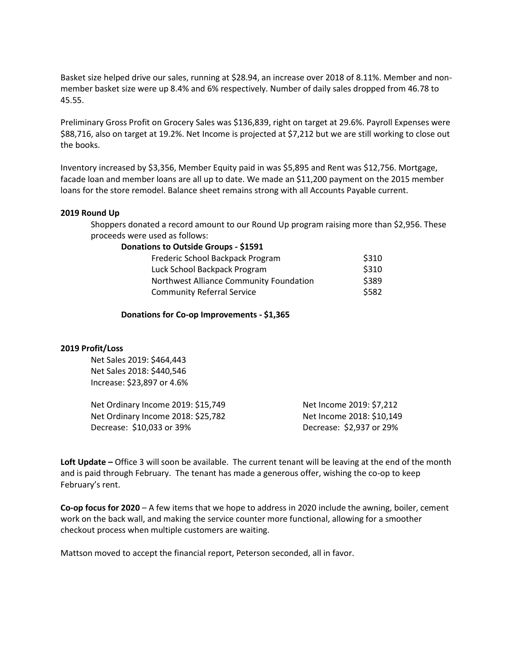Basket size helped drive our sales, running at \$28.94, an increase over 2018 of 8.11%. Member and nonmember basket size were up 8.4% and 6% respectively. Number of daily sales dropped from 46.78 to 45.55.

Preliminary Gross Profit on Grocery Sales was \$136,839, right on target at 29.6%. Payroll Expenses were \$88,716, also on target at 19.2%. Net Income is projected at \$7,212 but we are still working to close out the books.

Inventory increased by \$3,356, Member Equity paid in was \$5,895 and Rent was \$12,756. Mortgage, facade loan and member loans are all up to date. We made an \$11,200 payment on the 2015 member loans for the store remodel. Balance sheet remains strong with all Accounts Payable current.

#### **2019 Round Up**

Shoppers donated a record amount to our Round Up program raising more than \$2,956. These proceeds were used as follows:

#### **Donations to Outside Groups - \$1591**

| Frederic School Backpack Program        | \$310 |
|-----------------------------------------|-------|
| Luck School Backpack Program            | \$310 |
| Northwest Alliance Community Foundation | \$389 |
| <b>Community Referral Service</b>       | \$582 |

**Donations for Co-op Improvements - \$1,365**

#### **2019 Profit/Loss**

Net Sales 2019: \$464,443 Net Sales 2018: \$440,546 Increase: \$23,897 or 4.6%

| Net Ordinary Income 2019: \$15,749 | Net Income 2019: \$7,212  |
|------------------------------------|---------------------------|
| Net Ordinary Income 2018: \$25,782 | Net Income 2018: \$10,149 |
| Decrease: \$10,033 or 39%          | Decrease: \$2,937 or 29%  |

**Loft Update –** Office 3 will soon be available. The current tenant will be leaving at the end of the month and is paid through February. The tenant has made a generous offer, wishing the co-op to keep February's rent.

**Co-op focus for 2020** – A few items that we hope to address in 2020 include the awning, boiler, cement work on the back wall, and making the service counter more functional, allowing for a smoother checkout process when multiple customers are waiting.

Mattson moved to accept the financial report, Peterson seconded, all in favor.